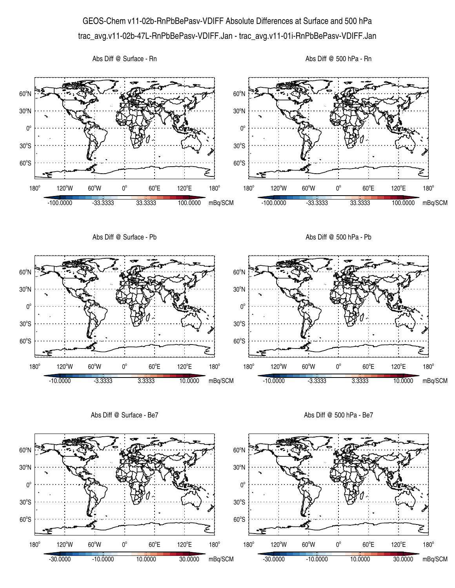## GEOS-Chem v11-02b-RnPbBePasv-VDIFF Absolute Differences at Surface and 500 hPa trac\_avg.v11-02b-47L-RnPbBePasv-VDIFF.Jan - trac\_avg.v11-01i-RnPbBePasv-VDIFF.Jan

Abs Diff @ Surface - Rn





Abs Diff @ Surface - Be7

Abs Diff @ 500 hPa - Be7